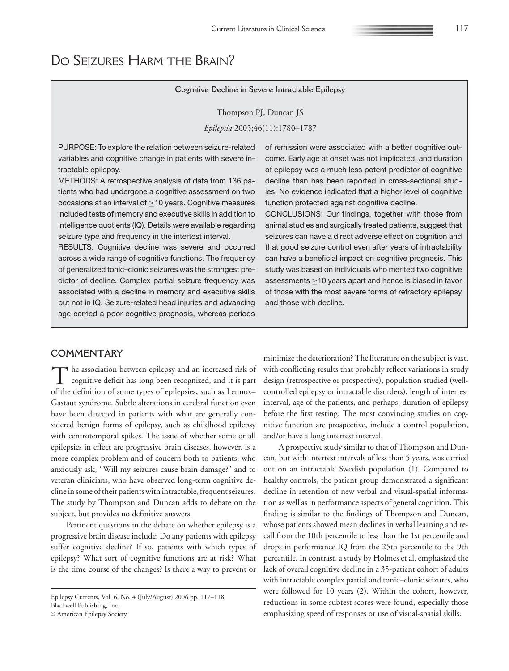## **Cognitive Decline in Severe Intractable Epilepsy**

Thompson PJ, Duncan JS

*Epilepsia* 2005;46(11):1780–1787

PURPOSE: To explore the relation between seizure-related variables and cognitive change in patients with severe intractable epilepsy.

METHODS: A retrospective analysis of data from 136 patients who had undergone a cognitive assessment on two occasions at an interval of  $\geq$  10 years. Cognitive measures included tests of memory and executive skills in addition to intelligence quotients (IQ). Details were available regarding seizure type and frequency in the intertest interval.

RESULTS: Cognitive decline was severe and occurred across a wide range of cognitive functions. The frequency of generalized tonic–clonic seizures was the strongest predictor of decline. Complex partial seizure frequency was associated with a decline in memory and executive skills but not in IQ. Seizure-related head injuries and advancing age carried a poor cognitive prognosis, whereas periods of remission were associated with a better cognitive outcome. Early age at onset was not implicated, and duration of epilepsy was a much less potent predictor of cognitive decline than has been reported in cross-sectional studies. No evidence indicated that a higher level of cognitive function protected against cognitive decline.

CONCLUSIONS: Our findings, together with those from animal studies and surgically treated patients, suggest that seizures can have a direct adverse effect on cognition and that good seizure control even after years of intractability can have a beneficial impact on cognitive prognosis. This study was based on individuals who merited two cognitive assessments ≥10 years apart and hence is biased in favor of those with the most severe forms of refractory epilepsy and those with decline.

## **COMMENTARY**

The association between epilepsy and an increased risk of<br>cognitive deficit has long been recognized, and it is part of the definition of some types of epilepsies, such as Lennox– Gastaut syndrome. Subtle alterations in cerebral function even have been detected in patients with what are generally considered benign forms of epilepsy, such as childhood epilepsy with centrotemporal spikes. The issue of whether some or all epilepsies in effect are progressive brain diseases, however, is a more complex problem and of concern both to patients, who anxiously ask, "Will my seizures cause brain damage?" and to veteran clinicians, who have observed long-term cognitive decline in some of their patients with intractable, frequent seizures. The study by Thompson and Duncan adds to debate on the subject, but provides no definitive answers.

Pertinent questions in the debate on whether epilepsy is a progressive brain disease include: Do any patients with epilepsy suffer cognitive decline? If so, patients with which types of epilepsy? What sort of cognitive functions are at risk? What is the time course of the changes? Is there a way to prevent or

Epilepsy Currents, Vol. 6, No. 4 (July/August) 2006 pp. 117–118 Blackwell Publishing, Inc.

© American Epilepsy Society

minimize the deterioration? The literature on the subject is vast, with conflicting results that probably reflect variations in study design (retrospective or prospective), population studied (wellcontrolled epilepsy or intractable disorders), length of intertest interval, age of the patients, and perhaps, duration of epilepsy before the first testing. The most convincing studies on cognitive function are prospective, include a control population, and/or have a long intertest interval.

A prospective study similar to that of Thompson and Duncan, but with intertest intervals of less than 5 years, was carried out on an intractable Swedish population (1). Compared to healthy controls, the patient group demonstrated a significant decline in retention of new verbal and visual-spatial information as well as in performance aspects of general cognition. This finding is similar to the findings of Thompson and Duncan, whose patients showed mean declines in verbal learning and recall from the 10th percentile to less than the 1st percentile and drops in performance IQ from the 25th percentile to the 9th percentile. In contrast, a study by Holmes et al. emphasized the lack of overall cognitive decline in a 35-patient cohort of adults with intractable complex partial and tonic–clonic seizures, who were followed for 10 years (2). Within the cohort, however, reductions in some subtest scores were found, especially those emphasizing speed of responses or use of visual-spatial skills.